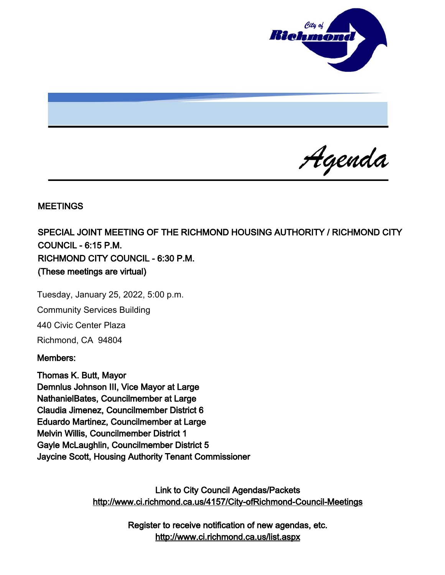

Agenda

### **MEETINGS**

SPECIAL JOINT MEETING OF THE RICHMOND HOUSING AUTHORITY / RICHMOND CITY COUNCIL - 6:15 P.M. RICHMOND CITY COUNCIL - 6:30 P.M. (These meetings are virtual)

Tuesday, January 25, 2022, 5:00 p.m. Community Services Building 440 Civic Center Plaza Richmond, CA 94804

#### Members:

Thomas K. Butt, Mayor Demnlus Johnson III, Vice Mayor at Large NathanielBates, Councilmember at Large Claudia Jimenez, Councilmember District 6 Eduardo Martinez, Councilmember at Large Melvin Willis, Councilmember District 1 Gayle McLaughlin, Councilmember District 5 Jaycine Scott, Housing Authority Tenant Commissioner

> Link to City Council Agendas/Packets <http://www.ci.richmond.ca.us/4157/City-ofRichmond-Council-Meetings>

> > Register to receive notification of new agendas, etc. <http://www.ci.richmond.ca.us/list.aspx>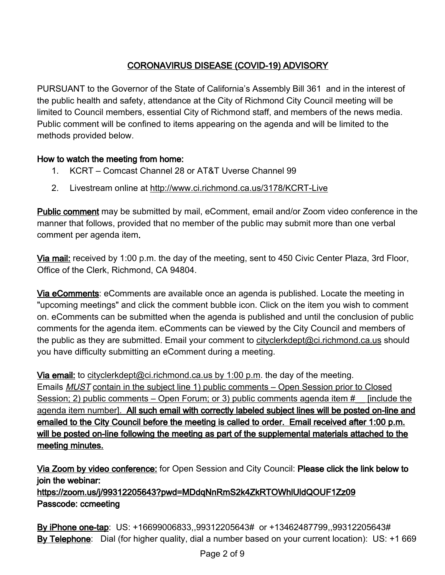# CORONAVIRUS DISEASE (COVID-19) ADVISORY

PURSUANT to the Governor of the State of California's Assembly Bill 361 and in the interest of the public health and safety, attendance at the City of Richmond City Council meeting will be limited to Council members, essential City of Richmond staff, and members of the news media. Public comment will be confined to items appearing on the agenda and will be limited to the methods provided below.

## How to watch the meeting from home:

- 1. KCRT Comcast Channel 28 or AT&T Uverse Channel 99
- 2. Livestream online at <http://www.ci.richmond.ca.us/3178/KCRT-Live>

Public comment may be submitted by mail, eComment, email and/or Zoom video conference in the manner that follows, provided that no member of the public may submit more than one verbal comment per agenda item.

Via mail: received by 1:00 p.m. the day of the meeting, sent to 450 Civic Center Plaza, 3rd Floor, Office of the Clerk, Richmond, CA 94804.

Via eComments: eComments are available once an agenda is published. Locate the meeting in "upcoming meetings" and click the comment bubble icon. Click on the item you wish to comment on. eComments can be submitted when the agenda is published and until the conclusion of public comments for the agenda item. eComments can be viewed by the City Council and members of the public as they are submitted. Email your comment to [cityclerkdept@ci.richmond.ca.us](mailto:cityclerkdept@ci.richmond.ca.us) should you have difficulty submitting an eComment during a meeting.

Via email: to [cityclerkdept@ci.richmond.ca.us](mailto:cityclerkdept@ci.richmond.ca.us) by 1:00 p.m. the day of the meeting. Emails MUST contain in the subject line 1) public comments – Open Session prior to Closed Session; 2) public comments – Open Forum; or 3) public comments agenda item # [include the agenda item number]. All such email with correctly labeled subject lines will be posted on-line and emailed to the City Council before the meeting is called to order. Email received after 1:00 p.m. will be posted on-line following the meeting as part of the supplemental materials attached to the meeting minutes.

Via Zoom by video conference: for Open Session and City Council: Please click the link below to join the webinar:

https://zoom.us/j/99312205643?pwd=MDdqNnRmS2k4ZkRTOWhlUldQOUF1Zz09 Passcode: ccmeeting

By iPhone one-tap: US: +16699006833,,99312205643# or +13462487799,,99312205643# By Telephone: Dial (for higher quality, dial a number based on your current location): US: +1 669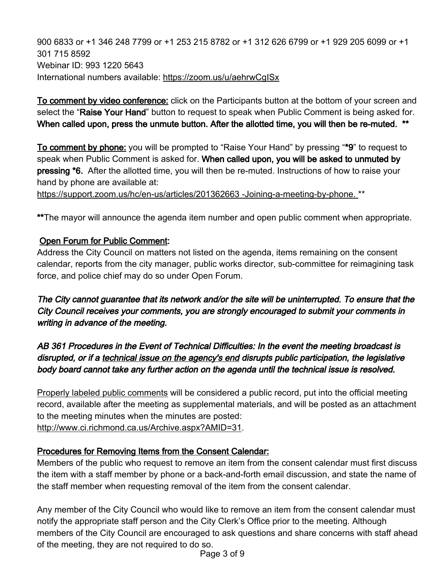900 6833 or +1 346 248 7799 or +1 253 215 8782 or +1 312 626 6799 or +1 929 205 6099 or +1 301 715 8592 Webinar ID: 993 1220 5643 International numbers available: <https://zoom.us/u/aehrwCgISx>

To comment by video conference: click on the Participants button at the bottom of your screen and select the "Raise Your Hand" button to request to speak when Public Comment is being asked for. When called upon, press the unmute button. After the allotted time, you will then be re-muted. \*\*

To comment by phone: you will be prompted to "Raise Your Hand" by pressing "\*9" to request to speak when Public Comment is asked for. When called upon, you will be asked to unmuted by pressing \*6. After the allotted time, you will then be re-muted. Instructions of how to raise your hand by phone are available at:

[https://support.zoom.us/hc/en-us/articles/201362663 -Joining-a-meeting-by-phone.](https://support.zoom.us/hc/en-us/articles/201362663%20-Joining-a-meeting-by-phone.) \*\*

\*\*The mayor will announce the agenda item number and open public comment when appropriate.

## Open Forum for Public Comment:

Address the City Council on matters not listed on the agenda, items remaining on the consent calendar, reports from the city manager, public works director, sub-committee for reimagining task force, and police chief may do so under Open Forum.

The City cannot guarantee that its network and/or the site will be uninterrupted. To ensure that the City Council receives your comments, you are strongly encouraged to submit your comments in writing in advance of the meeting.

AB 361 Procedures in the Event of Technical Difficulties: In the event the meeting broadcast is disrupted, or if a technical issue on the agency's end disrupts public participation, the legislative body board cannot take any further action on the agenda until the technical issue is resolved.

Properly labeled public comments will be considered a public record, put into the official meeting record, available after the meeting as supplemental materials, and will be posted as an attachment to the meeting minutes when the minutes are posted:

[http://www.ci.richmond.ca.us/Archive.aspx?AMID=31.](http://www.ci.richmond.ca.us/Archive.aspx?AMID=31)

# Procedures for Removing Items from the Consent Calendar:

Members of the public who request to remove an item from the consent calendar must first discuss the item with a staff member by phone or a back-and-forth email discussion, and state the name of the staff member when requesting removal of the item from the consent calendar.

Any member of the City Council who would like to remove an item from the consent calendar must notify the appropriate staff person and the City Clerk's Office prior to the meeting. Although members of the City Council are encouraged to ask questions and share concerns with staff ahead of the meeting, they are not required to do so.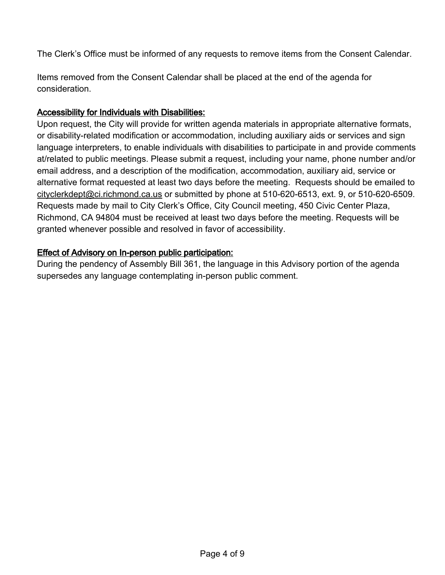The Clerk's Office must be informed of any requests to remove items from the Consent Calendar.

Items removed from the Consent Calendar shall be placed at the end of the agenda for consideration.

### Accessibility for Individuals with Disabilities:

Upon request, the City will provide for written agenda materials in appropriate alternative formats, or disability-related modification or accommodation, including auxiliary aids or services and sign language interpreters, to enable individuals with disabilities to participate in and provide comments at/related to public meetings. Please submit a request, including your name, phone number and/or email address, and a description of the modification, accommodation, auxiliary aid, service or alternative format requested at least two days before the meeting. Requests should be emailed to [cityclerkdept@ci.richmond.ca.us](mailto:cityclerkdept@ci.richmond.ca.us) or submitted by phone at 510-620-6513, ext. 9, or 510-620-6509. Requests made by mail to City Clerk's Office, City Council meeting, 450 Civic Center Plaza, Richmond, CA 94804 must be received at least two days before the meeting. Requests will be granted whenever possible and resolved in favor of accessibility.

## Effect of Advisory on In-person public participation:

During the pendency of Assembly Bill 361, the language in this Advisory portion of the agenda supersedes any language contemplating in-person public comment.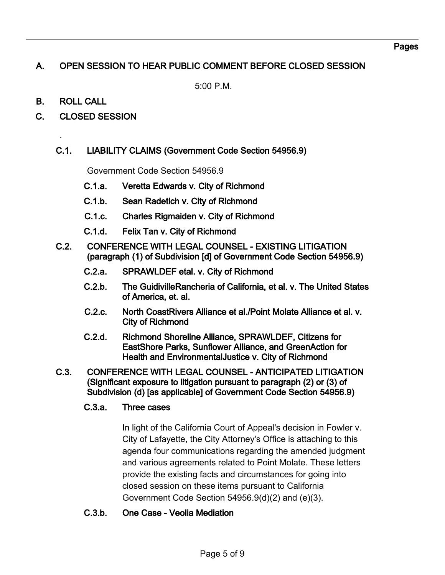#### Pages

# A. OPEN SESSION TO HEAR PUBLIC COMMENT BEFORE CLOSED SESSION

5:00 P.M.

B. ROLL CALL

.

C. CLOSED SESSION

### C.1. LIABILITY CLAIMS (Government Code Section 54956.9)

Government Code Section 54956.9

- C.1.a. Veretta Edwards v. City of Richmond
- C.1.b. Sean Radetich v. City of Richmond
- C.1.c. Charles Rigmaiden v. City of Richmond
- C.1.d. Felix Tan v. City of Richmond
- C.2. CONFERENCE WITH LEGAL COUNSEL EXISTING LITIGATION (paragraph (1) of Subdivision [d] of Government Code Section 54956.9)
	- C.2.a. SPRAWLDEF etal. v. City of Richmond
	- C.2.b. The GuidivilleRancheria of California, et al. v. The United States of America, et. al.
	- C.2.c. North CoastRivers Alliance et al./Point Molate Alliance et al. v. City of Richmond
	- C.2.d. Richmond Shoreline Alliance, SPRAWLDEF, Citizens for EastShore Parks, Sunflower Alliance, and GreenAction for Health and EnvironmentalJustice v. City of Richmond
- C.3. CONFERENCE WITH LEGAL COUNSEL ANTICIPATED LITIGATION (Significant exposure to litigation pursuant to paragraph (2) or (3) of Subdivision (d) [as applicable] of Government Code Section 54956.9)

### C.3.a. Three cases

In light of the California Court of Appeal's decision in Fowler v. City of Lafayette, the City Attorney's Office is attaching to this agenda four communications regarding the amended judgment and various agreements related to Point Molate. These letters provide the existing facts and circumstances for going into closed session on these items pursuant to California Government Code Section 54956.9(d)(2) and (e)(3).

### C.3.b. One Case - Veolia Mediation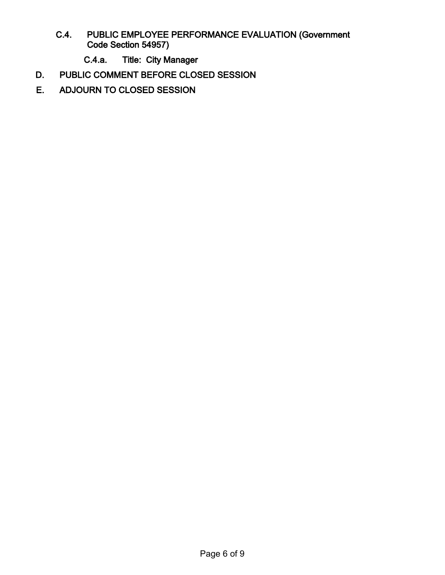- C.4. PUBLIC EMPLOYEE PERFORMANCE EVALUATION (Government Code Section 54957)
	- C.4.a. Title: City Manager
- D. PUBLIC COMMENT BEFORE CLOSED SESSION
- E. ADJOURN TO CLOSED SESSION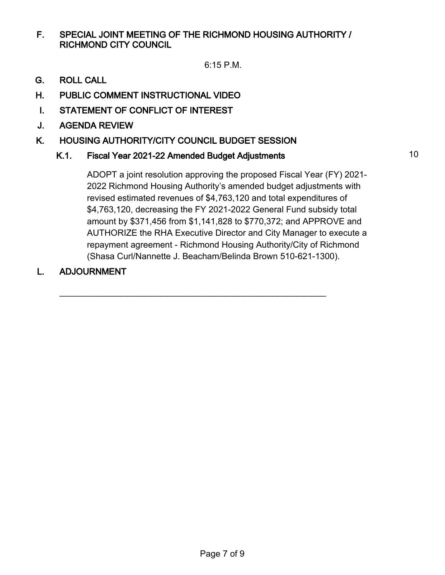F. SPECIAL JOINT MEETING OF THE RICHMOND HOUSING AUTHORITY / RICHMOND CITY COUNCIL

6:15 P.M.

- G. ROLL CALL
- H. PUBLIC COMMENT INSTRUCTIONAL VIDEO
- I. STATEMENT OF CONFLICT OF INTEREST
- J. AGENDA REVIEW
- K. HOUSING AUTHORITY/CITY COUNCIL BUDGET SESSION

## K.1. Fiscal Year 2021-22 Amended Budget Adjustments 10

 $\overline{\phantom{a}}$  , and the contribution of the contribution of the contribution of the contribution of the contribution of the contribution of the contribution of the contribution of the contribution of the contribution of the

ADOPT a joint resolution approving the proposed Fiscal Year (FY) 2021- 2022 Richmond Housing Authority's amended budget adjustments with revised estimated revenues of \$4,763,120 and total expenditures of \$4,763,120, decreasing the FY 2021-2022 General Fund subsidy total amount by \$371,456 from \$1,141,828 to \$770,372; and APPROVE and AUTHORIZE the RHA Executive Director and City Manager to execute a repayment agreement - Richmond Housing Authority/City of Richmond (Shasa Curl/Nannette J. Beacham/Belinda Brown 510-621-1300).

L. ADJOURNMENT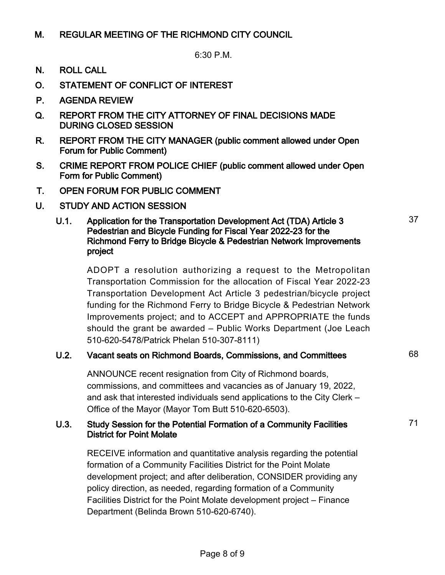## M. REGULAR MEETING OF THE RICHMOND CITY COUNCIL

6:30 P.M.

- N. ROLL CALL
- O. STATEMENT OF CONFLICT OF INTEREST
- P. AGENDA REVIEW
- Q. REPORT FROM THE CITY ATTORNEY OF FINAL DECISIONS MADE DURING CLOSED SESSION
- R. REPORT FROM THE CITY MANAGER (public comment allowed under Open Forum for Public Comment)
- S. CRIME REPORT FROM POLICE CHIEF (public comment allowed under Open Form for Public Comment)
- T. OPEN FORUM FOR PUBLIC COMMENT
- U. STUDY AND ACTION SESSION

#### U.1. Application for the Transportation Development Act (TDA) Article 3 Pedestrian and Bicycle Funding for Fiscal Year 2022-23 for the Richmond Ferry to Bridge Bicycle & Pedestrian Network Improvements project

ADOPT a resolution authorizing a request to the Metropolitan Transportation Commission for the allocation of Fiscal Year 2022-23 Transportation Development Act Article 3 pedestrian/bicycle project funding for the Richmond Ferry to Bridge Bicycle & Pedestrian Network Improvements project; and to ACCEPT and APPROPRIATE the funds should the grant be awarded – Public Works Department (Joe Leach 510-620-5478/Patrick Phelan 510-307-8111)

## U.2. Vacant seats on Richmond Boards, Commissions, and Committees 68

ANNOUNCE recent resignation from City of Richmond boards, commissions, and committees and vacancies as of January 19, 2022, and ask that interested individuals send applications to the City Clerk – Office of the Mayor (Mayor Tom Butt 510-620-6503).

### U.3. Study Session for the Potential Formation of a Community Facilities District for Point Molate

RECEIVE information and quantitative analysis regarding the potential formation of a Community Facilities District for the Point Molate development project; and after deliberation, CONSIDER providing any policy direction, as needed, regarding formation of a Community Facilities District for the Point Molate development project – Finance Department (Belinda Brown 510-620-6740).

71

37